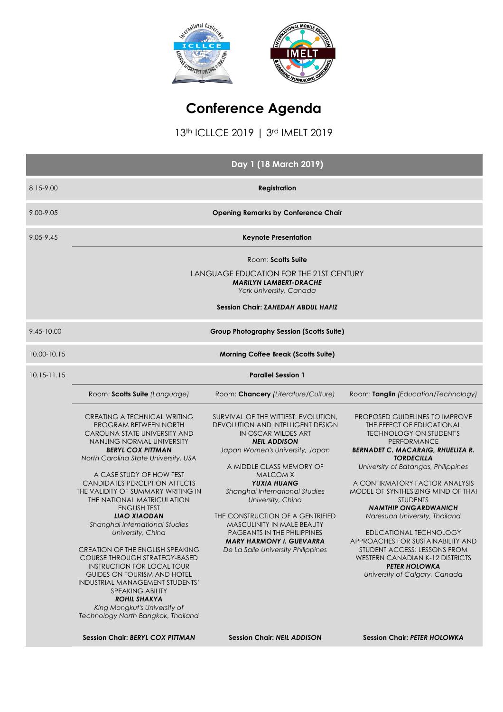

# **Conference Agenda**

13th ICLLCE 2019 | 3rd IMELT 2019

|                 |                                                                                                                                                                                                                                                                                                                                                                                                                                                                                                                                                                                                                                                                                                                                                               | Day 1 (18 March 2019)                                                                                                                                                                                                                                                                                                                                                                                                                                                          |                                                                                                                                                                                                                                                                                                                                                                                                                                                                                                                                                                                   |  |  |
|-----------------|---------------------------------------------------------------------------------------------------------------------------------------------------------------------------------------------------------------------------------------------------------------------------------------------------------------------------------------------------------------------------------------------------------------------------------------------------------------------------------------------------------------------------------------------------------------------------------------------------------------------------------------------------------------------------------------------------------------------------------------------------------------|--------------------------------------------------------------------------------------------------------------------------------------------------------------------------------------------------------------------------------------------------------------------------------------------------------------------------------------------------------------------------------------------------------------------------------------------------------------------------------|-----------------------------------------------------------------------------------------------------------------------------------------------------------------------------------------------------------------------------------------------------------------------------------------------------------------------------------------------------------------------------------------------------------------------------------------------------------------------------------------------------------------------------------------------------------------------------------|--|--|
| 8.15-9.00       | <b>Registration</b>                                                                                                                                                                                                                                                                                                                                                                                                                                                                                                                                                                                                                                                                                                                                           |                                                                                                                                                                                                                                                                                                                                                                                                                                                                                |                                                                                                                                                                                                                                                                                                                                                                                                                                                                                                                                                                                   |  |  |
| 9.00-9.05       | <b>Opening Remarks by Conference Chair</b>                                                                                                                                                                                                                                                                                                                                                                                                                                                                                                                                                                                                                                                                                                                    |                                                                                                                                                                                                                                                                                                                                                                                                                                                                                |                                                                                                                                                                                                                                                                                                                                                                                                                                                                                                                                                                                   |  |  |
| $9.05 - 9.45$   | <b>Keynote Presentation</b>                                                                                                                                                                                                                                                                                                                                                                                                                                                                                                                                                                                                                                                                                                                                   |                                                                                                                                                                                                                                                                                                                                                                                                                                                                                |                                                                                                                                                                                                                                                                                                                                                                                                                                                                                                                                                                                   |  |  |
|                 |                                                                                                                                                                                                                                                                                                                                                                                                                                                                                                                                                                                                                                                                                                                                                               | Room: Scotts Suite<br>LANGUAGE EDUCATION FOR THE 21ST CENTURY<br><b>MARILYN LAMBERT-DRACHE</b><br>York University, Canada<br><b>Session Chair: ZAHEDAH ABDUL HAFIZ</b>                                                                                                                                                                                                                                                                                                         |                                                                                                                                                                                                                                                                                                                                                                                                                                                                                                                                                                                   |  |  |
| 9.45-10.00      |                                                                                                                                                                                                                                                                                                                                                                                                                                                                                                                                                                                                                                                                                                                                                               | <b>Group Photography Session (Scotts Suite)</b>                                                                                                                                                                                                                                                                                                                                                                                                                                |                                                                                                                                                                                                                                                                                                                                                                                                                                                                                                                                                                                   |  |  |
| 10.00-10.15     |                                                                                                                                                                                                                                                                                                                                                                                                                                                                                                                                                                                                                                                                                                                                                               | <b>Morning Coffee Break (Scotts Suite)</b>                                                                                                                                                                                                                                                                                                                                                                                                                                     |                                                                                                                                                                                                                                                                                                                                                                                                                                                                                                                                                                                   |  |  |
| $10.15 - 11.15$ | <b>Parallel Session 1</b>                                                                                                                                                                                                                                                                                                                                                                                                                                                                                                                                                                                                                                                                                                                                     |                                                                                                                                                                                                                                                                                                                                                                                                                                                                                |                                                                                                                                                                                                                                                                                                                                                                                                                                                                                                                                                                                   |  |  |
|                 | Room: Scotts Suite (Language)                                                                                                                                                                                                                                                                                                                                                                                                                                                                                                                                                                                                                                                                                                                                 | Room: Chancery (Literature/Culture)                                                                                                                                                                                                                                                                                                                                                                                                                                            | Room: Tanglin (Education/Technology)                                                                                                                                                                                                                                                                                                                                                                                                                                                                                                                                              |  |  |
|                 | CREATING A TECHNICAL WRITING<br>PROGRAM BETWEEN NORTH<br>CAROLINA STATE UNIVERSITY AND<br>NANJING NORMAL UNIVERSITY<br><b>BERYL COX PITTMAN</b><br>North Carolina State University, USA<br>A CASE STUDY OF HOW TEST<br><b>CANDIDATES PERCEPTION AFFECTS</b><br>THE VALIDITY OF SUMMARY WRITING IN<br>THE NATIONAL MATRICULATION<br><b>ENGLISH TEST</b><br><b>LIAO XIAODAN</b><br>Shanghai International Studies<br>University, China<br><b>CREATION OF THE ENGLISH SPEAKING</b><br><b>COURSE THROUGH STRATEGY-BASED</b><br><b>INSTRUCTION FOR LOCAL TOUR</b><br><b>GUIDES ON TOURISM AND HOTEL</b><br>INDUSTRIAL MANAGEMENT STUDENTS'<br><b>SPEAKING ABILITY</b><br><b>ROHIL SHAKYA</b><br>King Mongkut's University of<br>Technology North Bangkok, Thailand | SURVIVAL OF THE WITTIEST: EVOLUTION,<br><b>DEVOLUTION AND INTELLIGENT DESIGN</b><br>IN OSCAR WILDES ART<br><b>NEIL ADDISON</b><br>Japan Women's University, Japan<br>A MIDDLE CLASS MEMORY OF<br><b>MALCOM X</b><br><b>YUXIA HUANG</b><br>Shanghai International Studies<br>University, China<br>THE CONSTRUCTION OF A GENTRIFIED<br><b>MASCULINITY IN MALE BEAUTY</b><br>PAGEANTS IN THE PHILIPPINES<br><b>MARY HARMONY I. GUEVARRA</b><br>De La Salle University Philippines | PROPOSED GUIDELINES TO IMPROVE<br>THE EFFECT OF EDUCATIONAL<br><b>TECHNOLOGY ON STUDENT'S</b><br>PERFORMANCE<br><b>BERNADET C. MACARAIG, RHUELIZA R.</b><br><b>TORDECILLA</b><br>University of Batangas, Philippines<br>A CONFIRMATORY FACTOR ANALYSIS<br>MODEL OF SYNTHESIZING MIND OF THAI<br><b>STUDENTS</b><br><b>NAMTHIP ONGARDWANICH</b><br>Naresuan University, Thailand<br>EDUCATIONAL TECHNOLOGY<br>APPROACHES FOR SUSTAINABILITY AND<br>STUDENT ACCESS: LESSONS FROM<br><b>WESTERN CANADIAN K-12 DISTRICTS</b><br><b>PETER HOLOWKA</b><br>University of Calgary, Canada |  |  |
|                 | <b>Session Chair: BERYL COX PITTMAN</b>                                                                                                                                                                                                                                                                                                                                                                                                                                                                                                                                                                                                                                                                                                                       | <b>Session Chair: NEIL ADDISON</b>                                                                                                                                                                                                                                                                                                                                                                                                                                             | <b>Session Chair: PETER HOLOWKA</b>                                                                                                                                                                                                                                                                                                                                                                                                                                                                                                                                               |  |  |
|                 |                                                                                                                                                                                                                                                                                                                                                                                                                                                                                                                                                                                                                                                                                                                                                               |                                                                                                                                                                                                                                                                                                                                                                                                                                                                                |                                                                                                                                                                                                                                                                                                                                                                                                                                                                                                                                                                                   |  |  |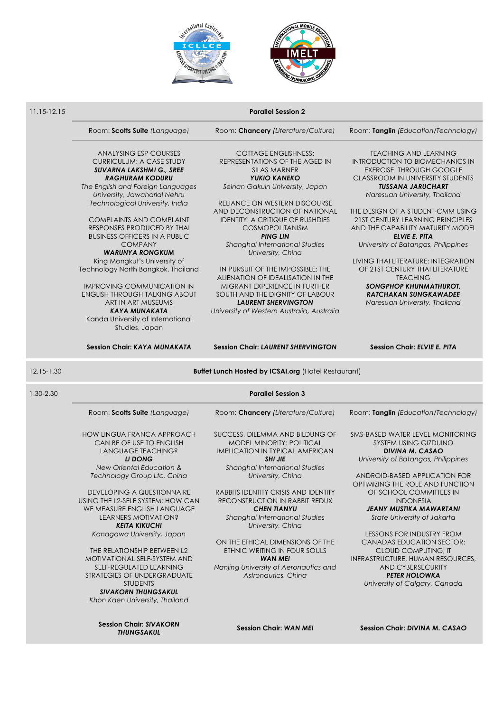



#### 11.15-12.15 **Parallel Session 2**

Room: **Scotts Suite** *(Language)* Room: **Chancery** *(Literature/Culture)* Room: **Tanglin** *(Education/Technology)*

ANALYSING ESP COURSES CURRICULUM: A CASE STUDY *SUVARNA LAKSHMI G., SREE RAGHURAM KODURU*

*The English and Foreign Languages University, Jawaharlal Nehru Technological University, India*

COMPLAINTS AND COMPLAINT RESPONSES PRODUCED BY THAI BUSINESS OFFICERS IN A PUBLIC COMPANY *WARUNYA RONGKUM* 

King Mongkut's University of Technology North Bangkok, Thailand

IMPROVING COMMUNICATION IN ENGLISH THROUGH TALKING ABOUT ART IN ART MUSEUMS *KAYA MUNAKATA* Kanda University of International Studies, Japan

COTTAGE ENGLISHNESS: REPRESENTATIONS OF THE AGED IN SILAS MARNER *YUKIO KANEKO Seinan Gakuin University, Japan*

RELIANCE ON WESTERN DISCOURSE AND DECONSTRUCTION OF NATIONAL IDENTITY: A CRITIQUE OF RUSHDIES COSMOPOLITANISM *PING LIN Shanghai International Studies University, China*

IN PURSUIT OF THE IMPOSSIBLE: THE ALIENATION OF IDEALISATION IN THE MIGRANT EXPERIENCE IN FURTHER SOUTH AND THE DIGNITY OF LABOUR *LAURENT SHERVINGTON*

*University of Western Australia, Australia*

TEACHING AND LEARNING INTRODUCTION TO BIOMECHANICS IN EXERCISE THROUGH GOOGLE CLASSROOM IN UNIVERSITY STUDENTS *TUSSANA JARUCHART Naresuan University, Thailand*

THE DESIGN OF A STUDENT-CMM USING 21ST CENTURY LEARNING PRINCIPLES AND THE CAPABILITY MATURITY MODEL *ELVIE E. PITA University of Batangas, Philippines*

LIVING THAI LITERATURE: INTEGRATION OF 21ST CENTURY THAI LITERATURE **TEACHING** *SONGPHOP KHUNMATHUROT, RATCHAKAN SUNGKAWADEE Naresuan University, Thailand*

**Session Chair:** *KAYA MUNAKATA* **Session Chair:** *LAURENT SHERVINGTON* **Session Chair:** *ELVIE E. PITA*

12.15-1.30 **Buffet Lunch Hosted by ICSAI.org** (Hotel Restaurant)

| 1.30-2.30 | <b>Parallel Session 3</b>                                                                             |                                                                                                                                 |                                                                                                                            |  |  |
|-----------|-------------------------------------------------------------------------------------------------------|---------------------------------------------------------------------------------------------------------------------------------|----------------------------------------------------------------------------------------------------------------------------|--|--|
|           | Room: Scotts Suite (Language)                                                                         | Room: Chancery (Literature/Culture)                                                                                             | Room: Tanglin (Education/Technology)                                                                                       |  |  |
|           | <b>HOW LINGUA FRANCA APPROACH</b><br>CAN BE OF USE TO ENGLISH<br>LANGUAGE TEACHING?<br>LI DONG        | SUCCESS, DILEMMA AND BILDUNG OF<br><b>MODEL MINORITY: POLITICAL</b><br><b>IMPLICATION IN TYPICAL AMERICAN</b><br><b>SHI JIE</b> | SMS-BASED WATER LEVEL MONITORING<br>SYSTEM USING GIZDUINO<br><b>DIVINA M. CASAO</b><br>University of Batangas, Philippines |  |  |
|           | New Oriental Education &                                                                              | Shanghai International Studies                                                                                                  |                                                                                                                            |  |  |
|           | Technology Group Ltc, China                                                                           | University, China                                                                                                               | ANDROID-BASED APPLICATION FOR<br>OPTIMIZING THE ROLE AND FUNCTION                                                          |  |  |
|           | <b>DEVELOPING A QUESTIONNAIRE</b><br>USING THE L2-SELF SYSTEM: HOW CAN<br>WE MEASURE ENGLISH LANGUAGE | <b>RABBITS IDENTITY CRISIS AND IDENTITY</b><br><b>RECONSTRUCTION IN RABBIT REDUX</b><br><b>CHEN TIANYU</b>                      | OF SCHOOL COMMITTEES IN<br><b>INDONESIA</b><br>JEANY MUSTIKA MAWARTANI                                                     |  |  |
|           | LEARNERS MOTIVATION?<br><b>KEITA KIKUCHI</b>                                                          | Shanghai International Studies<br>University, China                                                                             | State University of Jakarta                                                                                                |  |  |
|           | Kanagawa University, Japan                                                                            | ON THE ETHICAL DIMENSIONS OF THE                                                                                                | <b>LESSONS FOR INDUSTRY FROM</b><br><b>CANADAS EDUCATION SECTOR:</b>                                                       |  |  |
|           | THE RELATIONSHIP BETWEEN L2                                                                           | ETHNIC WRITING IN FOUR SOULS                                                                                                    | <b>CLOUD COMPUTING, IT</b>                                                                                                 |  |  |
|           | MOTIVATIONAL SELF-SYSTEM AND                                                                          | <b>WAN MEI</b>                                                                                                                  | INFRASTRUCTURE, HUMAN RESOURCES,                                                                                           |  |  |
|           | SELF-REGULATED LEARNING                                                                               | Nanjing University of Aeronautics and                                                                                           | <b>AND CYBERSECURITY</b>                                                                                                   |  |  |
|           | STRATEGIES OF UNDERGRADUATE<br><b>STUDENTS</b>                                                        | Astronautics, China                                                                                                             | <b>PETER HOLOWKA</b><br>University of Calgary, Canada                                                                      |  |  |

**Session Chair:** *SIVAKORN* 

*SIVAKORN THUNGSAKUL Khon Kaen University, Thailand*

*THUNGSAKUL* **Session Chair:** *WAN MEI* **Session Chair:** *DIVINA M. CASAO*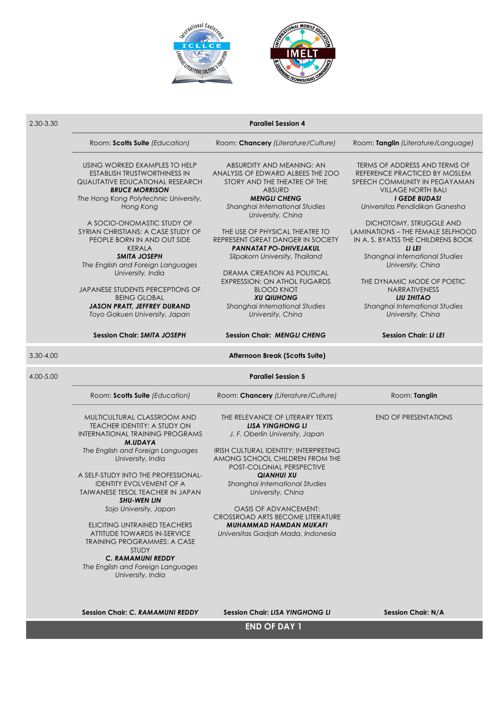



| 2.30-3.30 | <b>Parallel Session 4</b>                                                                                                                                                                         |                                                                                                                                                                                                                            |                                                                                                                                                                                                          |  |  |
|-----------|---------------------------------------------------------------------------------------------------------------------------------------------------------------------------------------------------|----------------------------------------------------------------------------------------------------------------------------------------------------------------------------------------------------------------------------|----------------------------------------------------------------------------------------------------------------------------------------------------------------------------------------------------------|--|--|
|           | Room: Scotts Suite (Education)                                                                                                                                                                    | Room: Chancery (Literature/Culture)                                                                                                                                                                                        | Room: Tanglin (Literature/Language)                                                                                                                                                                      |  |  |
|           | USING WORKED EXAMPLES TO HELP<br><b>ESTABLISH TRUSTWORTHINESS IN</b><br><b>QUALITATIVE EDUCATIONAL RESEARCH</b><br><b>BRUCE MORRISON</b><br>The Hong Kong Polytechnic University,<br>Hong Kong    | ABSURDITY AND MEANING: AN<br>ANALYSIS OF EDWARD ALBEES THE ZOO<br>STORY AND THE THEATRE OF THE<br><b>ABSURD</b><br><b>MENGLI CHENG</b><br>Shanghai International Studies                                                   | TERMS OF ADDRESS AND TERMS OF<br>REFERENCE PRACTICED BY MOSLEM<br>SPEECH COMMUNITY IN PEGAYAMAN<br><b>VILLAGE NORTH BALI</b><br><b>I GEDE BUDASI</b><br>Universitas Pendidikan Ganesha                   |  |  |
|           | A SOCIO-ONOMASTIC STUDY OF<br>SYRIAN CHRISTIANS: A CASE STUDY OF<br>PEOPLE BORN IN AND OUT SIDE<br><b>KERALA</b><br><b>SMITA JOSEPH</b><br>The English and Foreign Languages<br>University, India | University, China<br>THE USE OF PHYSICAL THEATRE TO<br>REPRESENT GREAT DANGER IN SOCIETY<br>PANNATAT PO-DHIVEJAKUL<br>Silpakorn University, Thailand<br>DRAMA CREATION AS POLITICAL<br><b>EXPRESSION: ON ATHOL FUGARDS</b> | DICHOTOMY, STRUGGLE AND<br><b>LAMINATIONS - THE FEMALE SELFHOOD</b><br>IN A. S. BYATSS THE CHILDRENS BOOK<br>LI LEI<br>Shanghai International Studies<br>University, China<br>THE DYNAMIC MODE OF POETIC |  |  |
|           | JAPANESE STUDENTS PERCEPTIONS OF<br><b>BEING GLOBAL</b><br><b>JASON PRATT, JEFFREY DURAND</b><br>Toyo Gakuen University, Japan                                                                    | <b>BLOOD KNOT</b><br><b>XU QIUHONG</b><br>Shanghai International Studies<br>University, China                                                                                                                              | NARRATIVENESS<br><b>LIU ZHITAO</b><br>Shanghai International Studies<br>University, China                                                                                                                |  |  |
|           | <b>Session Chair: SMITA JOSEPH</b>                                                                                                                                                                | <b>Session Chair: MENGLI CHENG</b>                                                                                                                                                                                         | <b>Session Chair: LI LEI</b>                                                                                                                                                                             |  |  |
| 3.30-4.00 |                                                                                                                                                                                                   | Afternoon Break (Scotts Suite)                                                                                                                                                                                             |                                                                                                                                                                                                          |  |  |
| 4.00-5.00 |                                                                                                                                                                                                   | <b>Parallel Session 5</b>                                                                                                                                                                                                  |                                                                                                                                                                                                          |  |  |
|           | Room: Scotts Suite (Education)                                                                                                                                                                    | Room: Chancery (Literature/Culture)                                                                                                                                                                                        | Room: Tanglin                                                                                                                                                                                            |  |  |
|           | MULTICULTURAL CLASSROOM AND<br><b>TEACHER IDENTITY: A STUDY ON</b><br><b>INTERNATIONAL TRAINING PROGRAMS</b><br><b>M.UDAYA</b><br>The English and Foreign Languages<br>University, India          | THE RELEVANCE OF LITERARY TEXTS<br><b>LISA YINGHONG LI</b><br>J. F. Oberlin University, Japan<br><b>IRISH CULTURAL IDENTITY: INTERPRETING</b><br>AMONG SCHOOL CHILDREN FROM THE                                            | <b>END OF PRESENTATIONS</b>                                                                                                                                                                              |  |  |
|           | A SELF-STUDY INTO THE PROFESSIONAL-<br><b>IDENTITY EVOLVEMENT OF A</b><br>TAIWANESE TESOL TEACHER IN JAPAN<br><b>SHU-WEN LIN</b>                                                                  | POST-COLONIAL PERSPECTIVE<br><b>QIANHUI XU</b><br>Shanghai International Studies<br>University, China                                                                                                                      |                                                                                                                                                                                                          |  |  |
|           | Sojo University, Japan<br>ELICITING UNTRAINED TEACHERS<br>ATTITUDE TOWARDS IN-SERVICE<br><b>TRAINING PROGRAMMES: A CASE</b><br><b>STUDY</b><br><b>C. RAMAMUNI REDDY</b>                           | <b>OASIS OF ADVANCEMENT:</b><br>CROSSROAD ARTS BECOME LITERATURE<br><b>MUHAMMAD HAMDAN MUKAFI</b><br>Universitas Gadjah Mada, Indonesia                                                                                    |                                                                                                                                                                                                          |  |  |
|           | The English and Foreign Languages<br>University, India<br><b>Session Chair: C. RAMAMUNI REDDY</b>                                                                                                 | <b>Session Chair: LISA YINGHONG LI</b><br><b>END OF DAY 1</b>                                                                                                                                                              | Session Chair: N/A                                                                                                                                                                                       |  |  |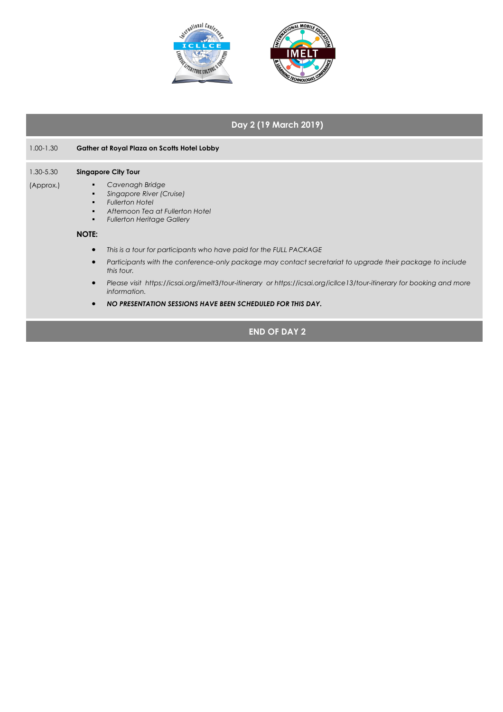

## **Day 2 (19 March 2019)**

| 1.00-1.30<br>1.30-5.30 |           |                                                              | Gather at Royal Plaza on Scotts Hotel Lobby                                                                                                    |  |  |
|------------------------|-----------|--------------------------------------------------------------|------------------------------------------------------------------------------------------------------------------------------------------------|--|--|
|                        |           | <b>Singapore City Tour</b>                                   |                                                                                                                                                |  |  |
|                        | (Approx.) | Ξ<br>п<br>$\blacksquare$<br>$\blacksquare$<br>$\blacksquare$ | Cavenagh Bridge<br>Singapore River (Cruise)<br><b>Fullerton Hotel</b><br>Afternoon Tea at Fullerton Hotel<br><b>Fullerton Heritage Gallery</b> |  |  |
|                        |           | <b>NOTE:</b>                                                 |                                                                                                                                                |  |  |
|                        |           | $\bullet$                                                    | This is a tour for participants who have paid for the FULL PACKAGE                                                                             |  |  |
|                        |           | $\bullet$                                                    | Participants with the conference-only package may contact secretariat to upgrade their package to include<br>this tour.                        |  |  |
|                        |           | $\bullet$                                                    | Please visit https://icsai.org/imelt3/tour-itinerary or https://icsai.org/icllce13/tour-itinerary for booking and more<br>information.         |  |  |
|                        |           |                                                              | NO PRESENTATION SESSIONS HAVE BEEN SCHEDULED FOR THIS DAY.                                                                                     |  |  |
|                        |           |                                                              |                                                                                                                                                |  |  |

**END OF DAY 2**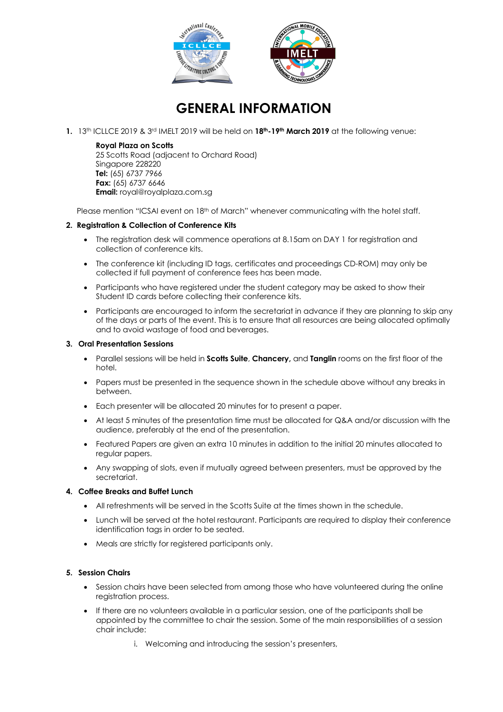

## **GENERAL INFORMATION**

**1.** 13th ICLLCE 2019 & 3rd IMELT 2019 will be held on **18th-19th March 2019** at the following venue:

**Royal Plaza on Scotts** 25 Scotts Road (adjacent to Orchard Road) Singapore 228220 **Tel:** (65) 6737 7966 **Fax:** (65) 6737 6646

**Email:** royal@royalplaza.com.sg

Please mention "ICSAI event on 18<sup>th</sup> of March" whenever communicating with the hotel staff.

### **2. Registration & Collection of Conference Kits**

- The registration desk will commence operations at 8.15am on DAY 1 for registration and collection of conference kits.
- The conference kit (including ID tags, certificates and proceedings CD-ROM) may only be collected if full payment of conference fees has been made.
- Participants who have reaistered under the student category may be asked to show their Student ID cards before collecting their conference kits.
- Participants are encouraged to inform the secretariat in advance if they are planning to skip any of the days or parts of the event. This is to ensure that all resources are being allocated optimally and to avoid wastage of food and beverages.

#### **3. Oral Presentation Sessions**

- Parallel sessions will be held in **Scotts Suite**, **Chancery,** and **Tanglin** rooms on the first floor of the hotel.
- Papers must be presented in the sequence shown in the schedule above without any breaks in between.
- Each presenter will be allocated 20 minutes for to present a paper.
- At least 5 minutes of the presentation time must be allocated for Q&A and/or discussion with the audience, preferably at the end of the presentation.
- Featured Papers are given an extra 10 minutes in addition to the initial 20 minutes allocated to regular papers.
- Any swapping of slots, even if mutually agreed between presenters, must be approved by the secretariat.

### **4. Coffee Breaks and Buffet Lunch**

- All refreshments will be served in the Scotts Suite at the times shown in the schedule.
- Lunch will be served at the hotel restaurant. Participants are required to display their conference identification tags in order to be seated.
- Meals are strictly for registered participants only.

#### **5. Session Chairs**

- Session chairs have been selected from among those who have volunteered during the online registration process.
- If there are no volunteers available in a particular session, one of the participants shall be appointed by the committee to chair the session. Some of the main responsibilities of a session chair include:
	- i. Welcoming and introducing the session's presenters,